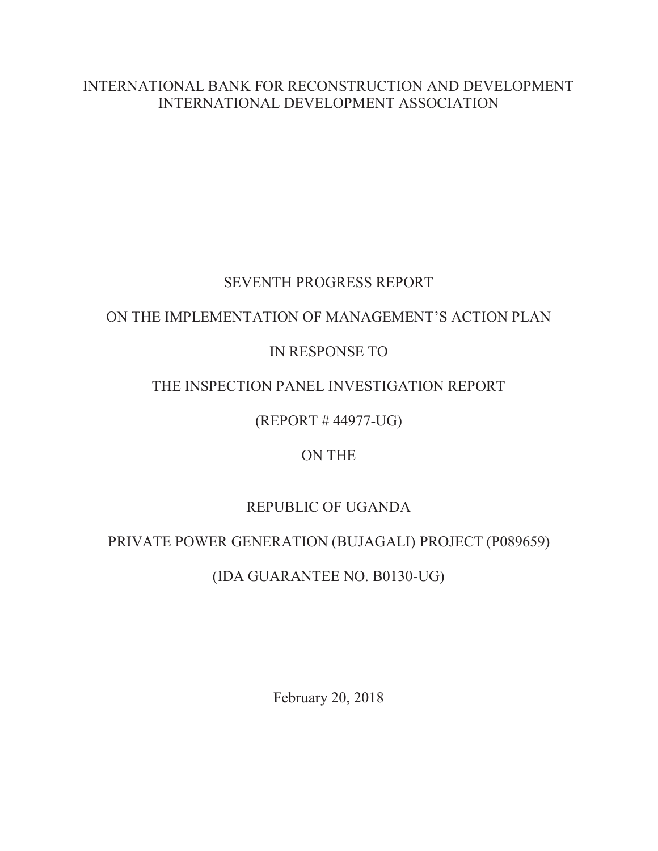INTERNATIONAL BANK FOR RECONSTRUCTION AND DEVELOPMENT INTERNATIONAL DEVELOPMENT ASSOCIATION

# SEVENTH PROGRESS REPORT

### ON THE IMPLEMENTATION OF MANAGEMENT'S ACTION PLAN

# IN RESPONSE TO

# THE INSPECTION PANEL INVESTIGATION REPORT

(REPORT # 44977-UG)

# ON THE

# REPUBLIC OF UGANDA

# PRIVATE POWER GENERATION (BUJAGALI) PROJECT (P089659)

# (IDA GUARANTEE NO. B0130-UG)

February 20, 2018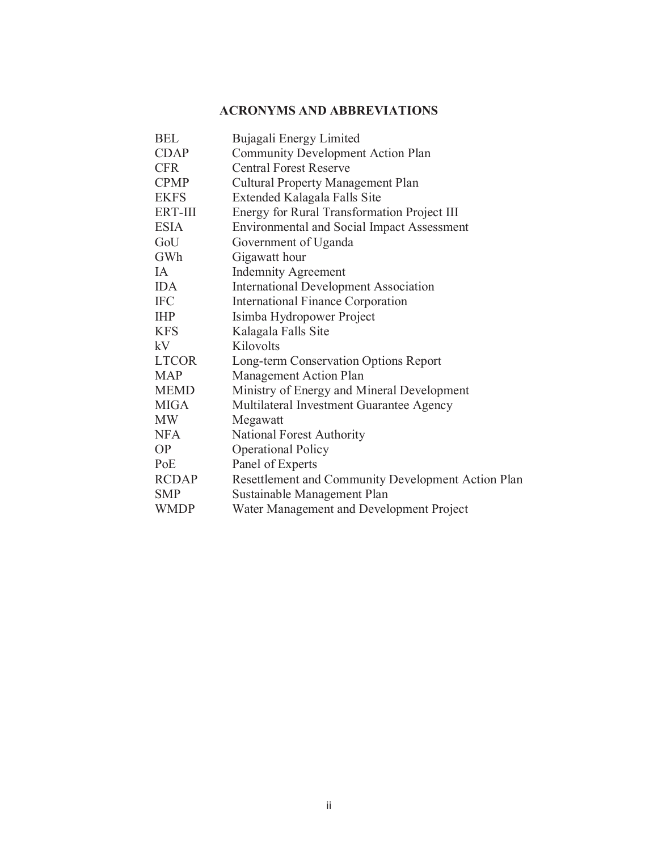#### **ACRONYMS AND ABBREVIATIONS**

| <b>BEL</b>   | Bujagali Energy Limited                            |
|--------------|----------------------------------------------------|
| <b>CDAP</b>  | <b>Community Development Action Plan</b>           |
| <b>CFR</b>   | <b>Central Forest Reserve</b>                      |
| <b>CPMP</b>  | <b>Cultural Property Management Plan</b>           |
| <b>EKFS</b>  | Extended Kalagala Falls Site                       |
| ERT-III      | Energy for Rural Transformation Project III        |
| <b>ESIA</b>  | <b>Environmental and Social Impact Assessment</b>  |
| GoU          | Government of Uganda                               |
| GWh          | Gigawatt hour                                      |
| <b>IA</b>    | <b>Indemnity Agreement</b>                         |
| <b>IDA</b>   | <b>International Development Association</b>       |
| <b>IFC</b>   | <b>International Finance Corporation</b>           |
| <b>IHP</b>   | Isimba Hydropower Project                          |
| <b>KFS</b>   | Kalagala Falls Site                                |
| kV           | Kilovolts                                          |
| <b>LTCOR</b> | Long-term Conservation Options Report              |
| <b>MAP</b>   | Management Action Plan                             |
| <b>MEMD</b>  | Ministry of Energy and Mineral Development         |
| <b>MIGA</b>  | Multilateral Investment Guarantee Agency           |
| <b>MW</b>    | Megawatt                                           |
| <b>NFA</b>   | National Forest Authority                          |
| <b>OP</b>    | <b>Operational Policy</b>                          |
| PoE          | Panel of Experts                                   |
| <b>RCDAP</b> | Resettlement and Community Development Action Plan |
| <b>SMP</b>   | Sustainable Management Plan                        |
| <b>WMDP</b>  | Water Management and Development Project           |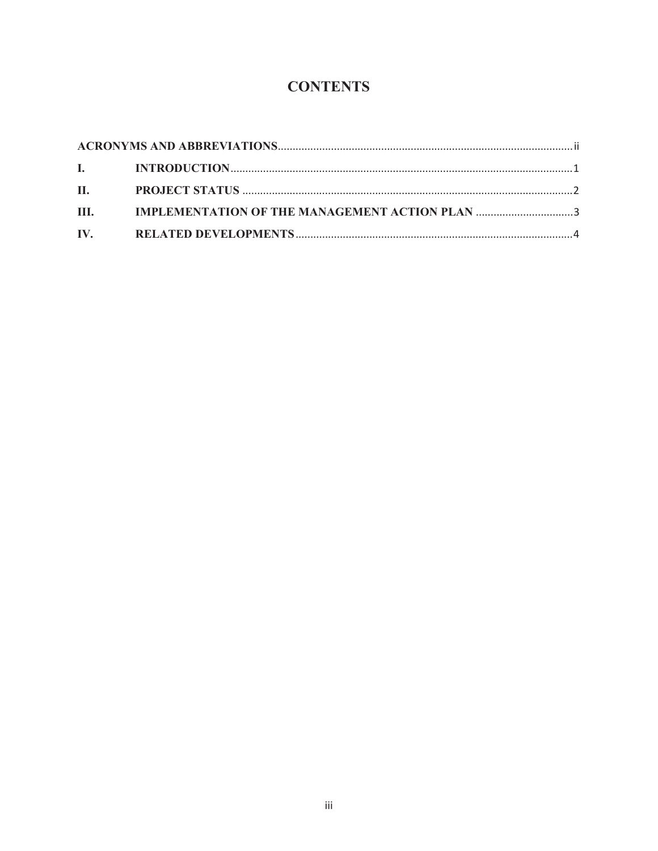# **CONTENTS**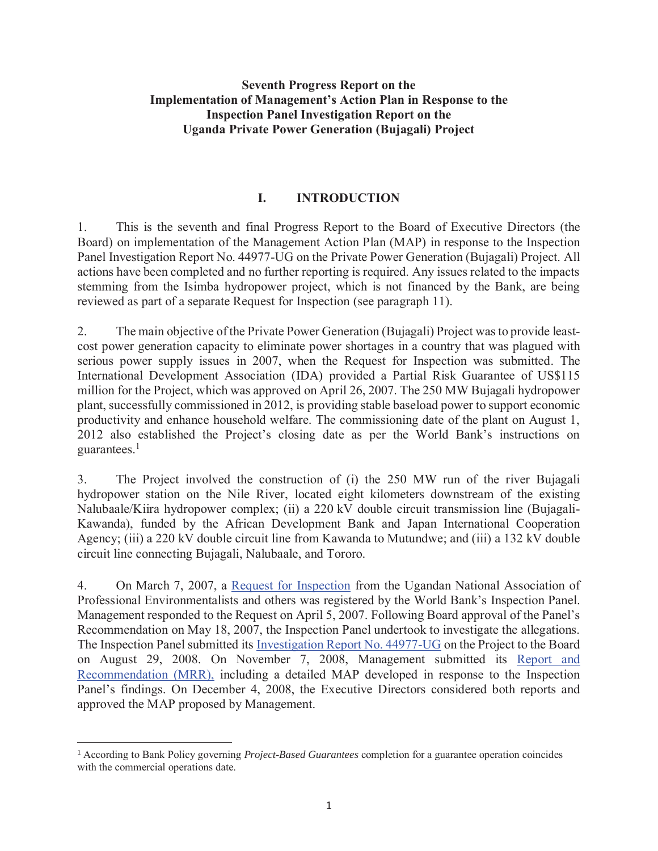#### **Seventh Progress Report on the Implementation of Management's Action Plan in Response to the Inspection Panel Investigation Report on the Uganda Private Power Generation (Bujagali) Project**

#### **I. INTRODUCTION**

1. This is the seventh and final Progress Report to the Board of Executive Directors (the Board) on implementation of the Management Action Plan (MAP) in response to the Inspection Panel Investigation Report No. 44977-UG on the Private Power Generation (Bujagali) Project. All actions have been completed and no further reporting is required. Any issues related to the impacts stemming from the Isimba hydropower project, which is not financed by the Bank, are being reviewed as part of a separate Request for Inspection (see paragraph 11).

2. The main objective of the Private Power Generation (Bujagali) Project was to provide leastcost power generation capacity to eliminate power shortages in a country that was plagued with serious power supply issues in 2007, when the Request for Inspection was submitted. The International Development Association (IDA) provided a Partial Risk Guarantee of US\$115 million for the Project, which was approved on April 26, 2007. The 250 MW Bujagali hydropower plant, successfully commissioned in 2012, is providing stable baseload power to support economic productivity and enhance household welfare. The commissioning date of the plant on August 1, 2012 also established the Project's closing date as per the World Bank's instructions on guarantees. $<sup>1</sup>$ </sup>

3. The Project involved the construction of (i) the 250 MW run of the river Bujagali hydropower station on the Nile River, located eight kilometers downstream of the existing Nalubaale/Kiira hydropower complex; (ii) a 220 kV double circuit transmission line (Bujagali-Kawanda), funded by the African Development Bank and Japan International Cooperation Agency; (iii) a 220 kV double circuit line from Kawanda to Mutundwe; and (iii) a 132 kV double circuit line connecting Bujagali, Nalubaale, and Tororo.

4. On March 7, 2007, a Request for Inspection from the Ugandan National Association of Professional Environmentalists and others was registered by the World Bank's Inspection Panel. Management responded to the Request on April 5, 2007. Following Board approval of the Panel's Recommendation on May 18, 2007, the Inspection Panel undertook to investigate the allegations. The Inspection Panel submitted its Investigation Report No. 44977-UG on the Project to the Board on August 29, 2008. On November 7, 2008, Management submitted its Report and Recommendation (MRR), including a detailed MAP developed in response to the Inspection Panel's findings. On December 4, 2008, the Executive Directors considered both reports and approved the MAP proposed by Management.

 $\overline{a}$ 

<sup>1</sup> According to Bank Policy governing *Project-Based Guarantees* completion for a guarantee operation coincides with the commercial operations date.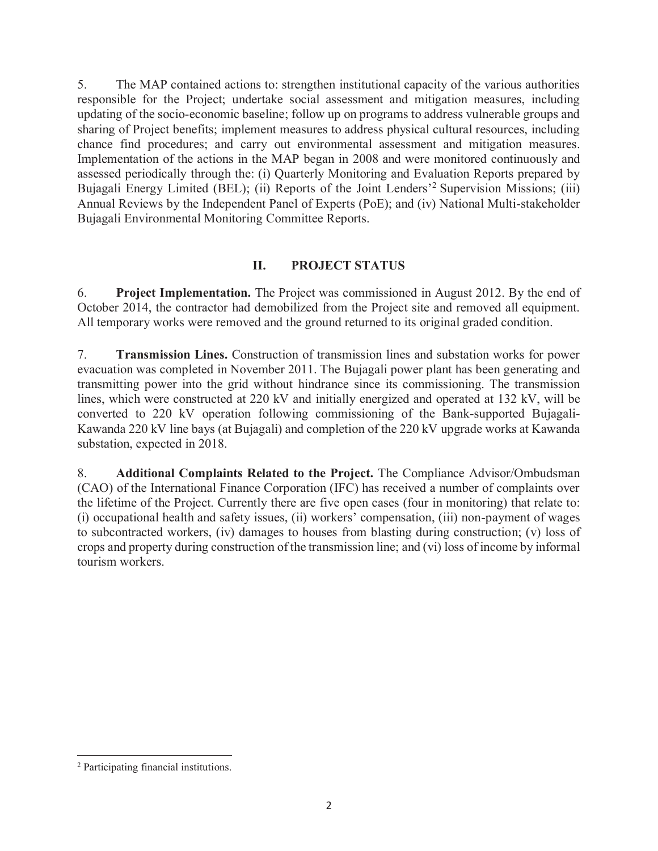5. The MAP contained actions to: strengthen institutional capacity of the various authorities responsible for the Project; undertake social assessment and mitigation measures, including updating of the socio-economic baseline; follow up on programs to address vulnerable groups and sharing of Project benefits; implement measures to address physical cultural resources, including chance find procedures; and carry out environmental assessment and mitigation measures. Implementation of the actions in the MAP began in 2008 and were monitored continuously and assessed periodically through the: (i) Quarterly Monitoring and Evaluation Reports prepared by Bujagali Energy Limited (BEL); (ii) Reports of the Joint Lenders<sup>,2</sup> Supervision Missions; (iii) Annual Reviews by the Independent Panel of Experts (PoE); and (iv) National Multi-stakeholder Bujagali Environmental Monitoring Committee Reports.

#### **II. PROJECT STATUS**

6. **Project Implementation.** The Project was commissioned in August 2012. By the end of October 2014, the contractor had demobilized from the Project site and removed all equipment. All temporary works were removed and the ground returned to its original graded condition.

7. **Transmission Lines.** Construction of transmission lines and substation works for power evacuation was completed in November 2011. The Bujagali power plant has been generating and transmitting power into the grid without hindrance since its commissioning. The transmission lines, which were constructed at 220 kV and initially energized and operated at 132 kV, will be converted to 220 kV operation following commissioning of the Bank-supported Bujagali-Kawanda 220 kV line bays (at Bujagali) and completion of the 220 kV upgrade works at Kawanda substation, expected in 2018.

8. **Additional Complaints Related to the Project.** The Compliance Advisor/Ombudsman (CAO) of the International Finance Corporation (IFC) has received a number of complaints over the lifetime of the Project. Currently there are five open cases (four in monitoring) that relate to: (i) occupational health and safety issues, (ii) workers' compensation, (iii) non-payment of wages to subcontracted workers, (iv) damages to houses from blasting during construction; (v) loss of crops and property during construction of the transmission line; and (vi) loss of income by informal tourism workers.

 $\overline{a}$ 

<sup>2</sup> Participating financial institutions.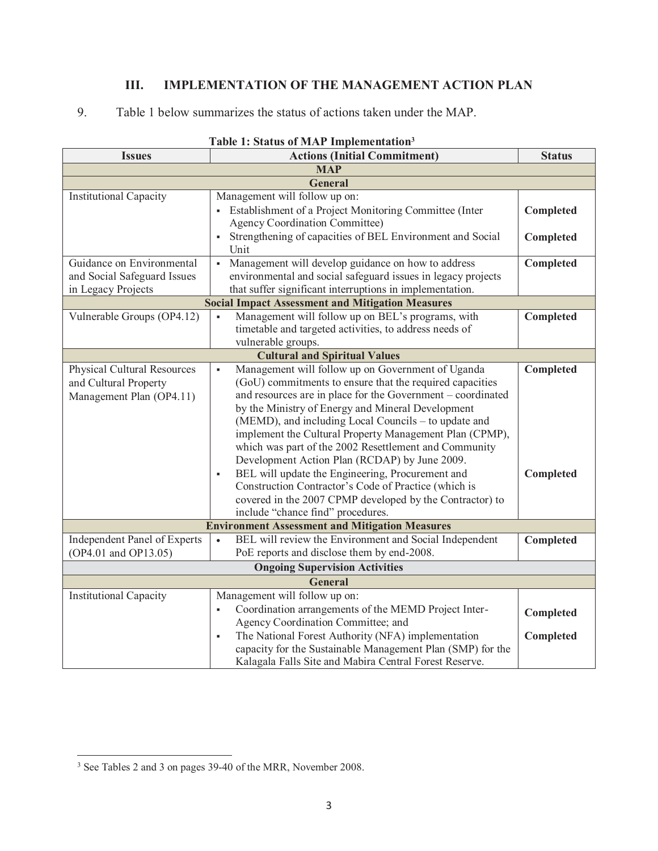#### **III. IMPLEMENTATION OF THE MANAGEMENT ACTION PLAN**

#### 9. Table 1 below summarizes the status of actions taken under the MAP.

| гаріє 1; status от міле тіпрієшеніаціон |                                                                                                                 |               |  |
|-----------------------------------------|-----------------------------------------------------------------------------------------------------------------|---------------|--|
| <b>Issues</b>                           | <b>Actions (Initial Commitment)</b>                                                                             | <b>Status</b> |  |
|                                         | <b>MAP</b>                                                                                                      |               |  |
|                                         | <b>General</b>                                                                                                  |               |  |
| <b>Institutional Capacity</b>           | Management will follow up on:                                                                                   |               |  |
|                                         | Establishment of a Project Monitoring Committee (Inter                                                          | Completed     |  |
|                                         | <b>Agency Coordination Committee)</b>                                                                           |               |  |
|                                         | Strengthening of capacities of BEL Environment and Social<br>$\blacksquare$                                     | Completed     |  |
|                                         | Unit                                                                                                            |               |  |
| Guidance on Environmental               | Management will develop guidance on how to address<br>$\blacksquare$                                            | Completed     |  |
| and Social Safeguard Issues             | environmental and social safeguard issues in legacy projects                                                    |               |  |
| in Legacy Projects                      | that suffer significant interruptions in implementation.                                                        |               |  |
|                                         | <b>Social Impact Assessment and Mitigation Measures</b>                                                         |               |  |
| Vulnerable Groups (OP4.12)              | Management will follow up on BEL's programs, with<br>$\blacksquare$                                             | Completed     |  |
|                                         | timetable and targeted activities, to address needs of                                                          |               |  |
|                                         | vulnerable groups.                                                                                              |               |  |
|                                         | <b>Cultural and Spiritual Values</b>                                                                            |               |  |
| <b>Physical Cultural Resources</b>      | Management will follow up on Government of Uganda<br>$\blacksquare$                                             | Completed     |  |
| and Cultural Property                   | (GoU) commitments to ensure that the required capacities                                                        |               |  |
| Management Plan (OP4.11)                | and resources are in place for the Government – coordinated                                                     |               |  |
|                                         | by the Ministry of Energy and Mineral Development                                                               |               |  |
|                                         | (MEMD), and including Local Councils - to update and                                                            |               |  |
|                                         | implement the Cultural Property Management Plan (CPMP),                                                         |               |  |
|                                         | which was part of the 2002 Resettlement and Community                                                           |               |  |
|                                         | Development Action Plan (RCDAP) by June 2009.                                                                   |               |  |
|                                         | BEL will update the Engineering, Procurement and<br>$\blacksquare$                                              | Completed     |  |
|                                         | Construction Contractor's Code of Practice (which is                                                            |               |  |
|                                         |                                                                                                                 |               |  |
|                                         | covered in the 2007 CPMP developed by the Contractor) to                                                        |               |  |
|                                         | include "chance find" procedures.                                                                               |               |  |
|                                         | <b>Environment Assessment and Mitigation Measures</b><br>BEL will review the Environment and Social Independent |               |  |
| Independent Panel of Experts            | $\bullet$                                                                                                       | Completed     |  |
| (OP4.01 and OP13.05)                    | PoE reports and disclose them by end-2008.                                                                      |               |  |
| <b>Ongoing Supervision Activities</b>   |                                                                                                                 |               |  |
| <b>General</b>                          |                                                                                                                 |               |  |
| <b>Institutional Capacity</b>           | Management will follow up on:                                                                                   |               |  |
|                                         | Coordination arrangements of the MEMD Project Inter-<br>$\blacksquare$                                          | Completed     |  |
|                                         | Agency Coordination Committee; and                                                                              |               |  |
|                                         | The National Forest Authority (NFA) implementation<br>$\blacksquare$                                            | Completed     |  |
|                                         | capacity for the Sustainable Management Plan (SMP) for the                                                      |               |  |
|                                         | Kalagala Falls Site and Mabira Central Forest Reserve.                                                          |               |  |

#### **Table 1: Status of MAP Implementation3**

<sup>&</sup>lt;sup>3</sup> See Tables 2 and 3 on pages 39-40 of the MRR, November 2008.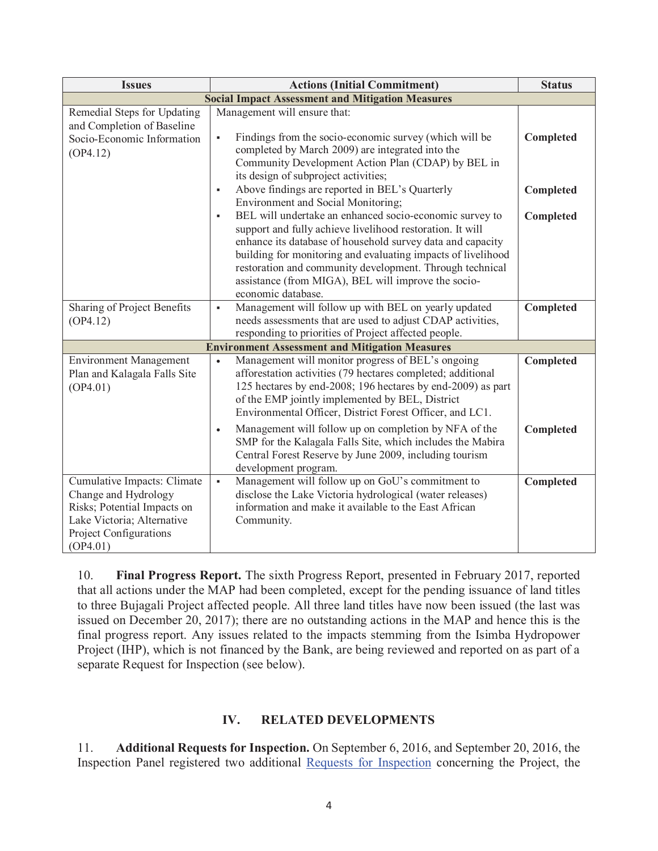| <b>Issues</b>                                                                                                                                          | <b>Actions (Initial Commitment)</b>                                                                                                                                                                                                                                                                                                                                               | <b>Status</b>          |  |  |
|--------------------------------------------------------------------------------------------------------------------------------------------------------|-----------------------------------------------------------------------------------------------------------------------------------------------------------------------------------------------------------------------------------------------------------------------------------------------------------------------------------------------------------------------------------|------------------------|--|--|
| <b>Social Impact Assessment and Mitigation Measures</b>                                                                                                |                                                                                                                                                                                                                                                                                                                                                                                   |                        |  |  |
| Remedial Steps for Updating<br>and Completion of Baseline<br>Socio-Economic Information<br>(OP4.12)                                                    | Management will ensure that:<br>Findings from the socio-economic survey (which will be<br>$\blacksquare$<br>completed by March 2009) are integrated into the<br>Community Development Action Plan (CDAP) by BEL in<br>its design of subproject activities;                                                                                                                        | Completed              |  |  |
|                                                                                                                                                        | Above findings are reported in BEL's Quarterly<br>$\blacksquare$<br>Environment and Social Monitoring;<br>BEL will undertake an enhanced socio-economic survey to<br>$\blacksquare$                                                                                                                                                                                               | Completed<br>Completed |  |  |
|                                                                                                                                                        | support and fully achieve livelihood restoration. It will<br>enhance its database of household survey data and capacity<br>building for monitoring and evaluating impacts of livelihood<br>restoration and community development. Through technical<br>assistance (from MIGA), BEL will improve the socio-<br>economic database.                                                  |                        |  |  |
| Sharing of Project Benefits<br>(OP4.12)                                                                                                                | Management will follow up with BEL on yearly updated<br>$\blacksquare$<br>needs assessments that are used to adjust CDAP activities,                                                                                                                                                                                                                                              | Completed              |  |  |
|                                                                                                                                                        | responding to priorities of Project affected people.<br><b>Environment Assessment and Mitigation Measures</b>                                                                                                                                                                                                                                                                     |                        |  |  |
| <b>Environment Management</b><br>Plan and Kalagala Falls Site<br>(OP4.01)                                                                              | Management will monitor progress of BEL's ongoing<br>$\bullet$<br>afforestation activities (79 hectares completed; additional<br>125 hectares by end-2008; 196 hectares by end-2009) as part<br>of the EMP jointly implemented by BEL, District<br>Environmental Officer, District Forest Officer, and LC1.<br>Management will follow up on completion by NFA of the<br>$\bullet$ | Completed<br>Completed |  |  |
|                                                                                                                                                        | SMP for the Kalagala Falls Site, which includes the Mabira<br>Central Forest Reserve by June 2009, including tourism<br>development program.                                                                                                                                                                                                                                      |                        |  |  |
| Cumulative Impacts: Climate<br>Change and Hydrology<br>Risks; Potential Impacts on<br>Lake Victoria; Alternative<br>Project Configurations<br>(OP4.01) | Management will follow up on GoU's commitment to<br>$\blacksquare$<br>disclose the Lake Victoria hydrological (water releases)<br>information and make it available to the East African<br>Community.                                                                                                                                                                             | Completed              |  |  |

10. **Final Progress Report.** The sixth Progress Report, presented in February 2017, reported that all actions under the MAP had been completed, except for the pending issuance of land titles to three Bujagali Project affected people. All three land titles have now been issued (the last was issued on December 20, 2017); there are no outstanding actions in the MAP and hence this is the final progress report. Any issues related to the impacts stemming from the Isimba Hydropower Project (IHP), which is not financed by the Bank, are being reviewed and reported on as part of a separate Request for Inspection (see below).

#### **IV. RELATED DEVELOPMENTS**

11. **Additional Requests for Inspection.** On September 6, 2016, and September 20, 2016, the Inspection Panel registered two additional Requests for Inspection concerning the Project, the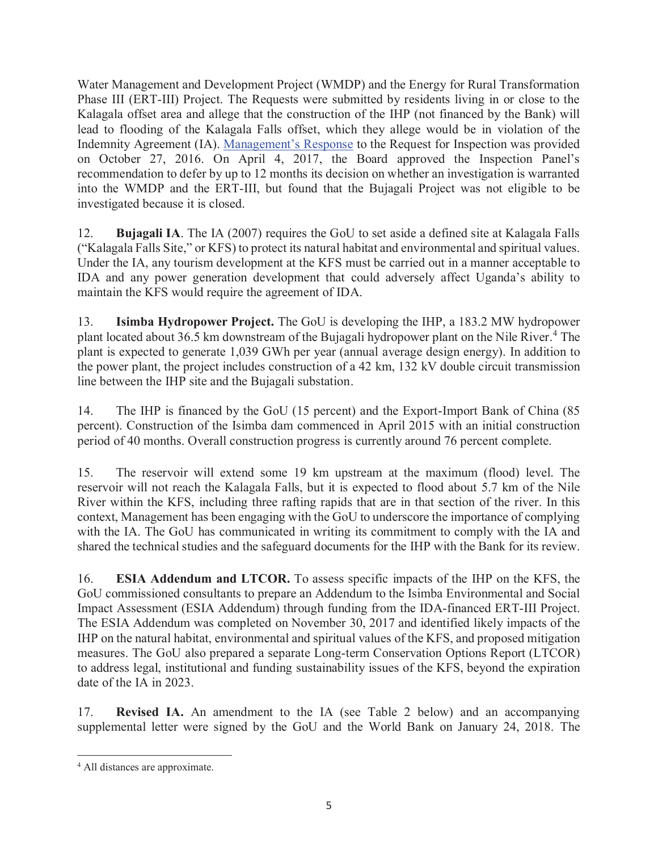Water Management and Development Project (WMDP) and the Energy for Rural Transformation Phase III (ERT-III) Project. The Requests were submitted by residents living in or close to the Kalagala offset area and allege that the construction of the IHP (not financed by the Bank) will lead to flooding of the Kalagala Falls offset, which they allege would be in violation of the Indemnity Agreement (IA). Management's Response to the Request for Inspection was provided on October 27, 2016. On April 4, 2017, the Board approved the Inspection Panel's recommendation to defer by up to 12 months its decision on whether an investigation is warranted into the WMDP and the ERT-III, but found that the Bujagali Project was not eligible to be investigated because it is closed.

12. **Bujagali IA**. The IA (2007) requires the GoU to set aside a defined site at Kalagala Falls ("Kalagala Falls Site," or KFS) to protect its natural habitat and environmental and spiritual values. Under the IA, any tourism development at the KFS must be carried out in a manner acceptable to IDA and any power generation development that could adversely affect Uganda's ability to maintain the KFS would require the agreement of IDA.

13. **Isimba Hydropower Project.** The GoU is developing the IHP, a 183.2 MW hydropower plant located about 36.5 km downstream of the Bujagali hydropower plant on the Nile River.<sup>4</sup> The plant is expected to generate 1,039 GWh per year (annual average design energy). In addition to the power plant, the project includes construction of a 42 km, 132 kV double circuit transmission line between the IHP site and the Bujagali substation.

14. The IHP is financed by the GoU (15 percent) and the Export-Import Bank of China (85 percent). Construction of the Isimba dam commenced in April 2015 with an initial construction period of 40 months. Overall construction progress is currently around 76 percent complete.

15. The reservoir will extend some 19 km upstream at the maximum (flood) level. The reservoir will not reach the Kalagala Falls, but it is expected to flood about 5.7 km of the Nile River within the KFS, including three rafting rapids that are in that section of the river. In this context, Management has been engaging with the GoU to underscore the importance of complying with the IA. The GoU has communicated in writing its commitment to comply with the IA and shared the technical studies and the safeguard documents for the IHP with the Bank for its review.

16. **ESIA Addendum and LTCOR.** To assess specific impacts of the IHP on the KFS, the GoU commissioned consultants to prepare an Addendum to the Isimba Environmental and Social Impact Assessment (ESIA Addendum) through funding from the IDA-financed ERT-III Project. The ESIA Addendum was completed on November 30, 2017 and identified likely impacts of the IHP on the natural habitat, environmental and spiritual values of the KFS, and proposed mitigation measures. The GoU also prepared a separate Long-term Conservation Options Report (LTCOR) to address legal, institutional and funding sustainability issues of the KFS, beyond the expiration date of the IA in 2023.

17. **Revised IA.** An amendment to the IA (see Table 2 below) and an accompanying supplemental letter were signed by the GoU and the World Bank on January 24, 2018. The

 $\overline{a}$ 4 All distances are approximate.